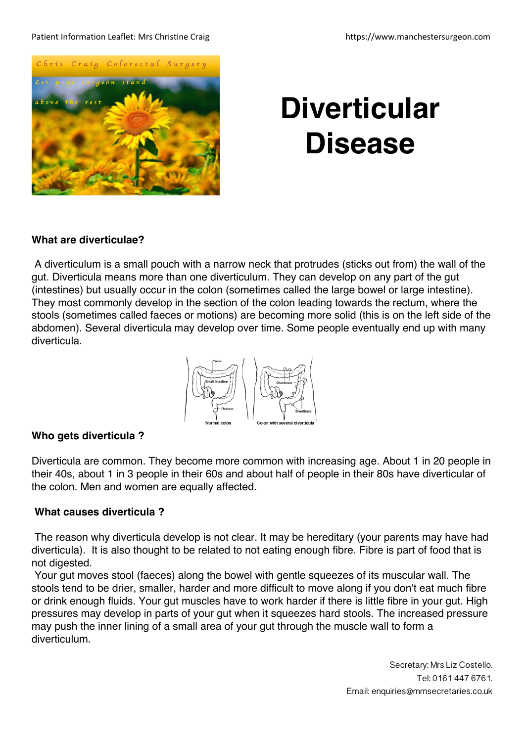#### Patient Information Leaflet: Mrs Christine Craig https://www.manchestersurgeon.com



# **Diverticular Disease**

# **What are diverticulae?**

A diverticulum is a small pouch with a narrow neck that protrudes (sticks out from) the wall of the gut. Diverticula means more than one diverticulum. They can develop on any part of the gut (intestines) but usually occur in the colon (sometimes called the large bowel or large intestine). They most commonly develop in the section of the colon leading towards the rectum, where the stools (sometimes called faeces or motions) are becoming more solid (this is on the left side of the abdomen). Several diverticula may develop over time. Some people eventually end up with many diverticula.



# **Who gets diverticula ?**

Diverticula are common. They become more common with increasing age. About 1 in 20 people in their 40s, about 1 in 3 people in their 60s and about half of people in their 80s have diverticular of the colon. Men and women are equally affected.

# **What causes diverticula ?**

The reason why diverticula develop is not clear. It may be hereditary (your parents may have had diverticula). It is also thought to be related to not eating enough fibre. Fibre is part of food that is not digested.

Your gut moves stool (faeces) along the bowel with gentle squeezes of its muscular wall. The stools tend to be drier, smaller, harder and more difficult to move along if you don't eat much fibre or drink enough fluids. Your gut muscles have to work harder if there is little fibre in your gut. High pressures may develop in parts of your gut when it squeezes hard stools. The increased pressure may push the inner lining of a small area of your gut through the muscle wall to form a diverticulum.

> Secretary: Mrs Liz Costello. Tel: 0161 447 6761. Email: enquiries@mmsecretaries.co.uk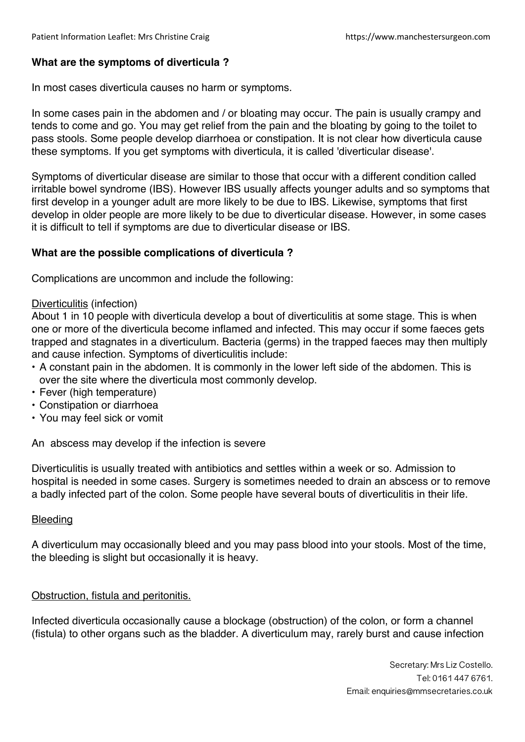## **What are the symptoms of diverticula ?**

In most cases diverticula causes no harm or symptoms.

In some cases pain in the abdomen and / or bloating may occur. The pain is usually crampy and tends to come and go. You may get relief from the pain and the bloating by going to the toilet to pass stools. Some people develop diarrhoea or constipation. It is not clear how diverticula cause these symptoms. If you get symptoms with diverticula, it is called 'diverticular disease'.

Symptoms of diverticular disease are similar to those that occur with a different condition called irritable bowel syndrome (IBS). However IBS usually affects younger adults and so symptoms that first develop in a younger adult are more likely to be due to IBS. Likewise, symptoms that first develop in older people are more likely to be due to diverticular disease. However, in some cases it is difficult to tell if symptoms are due to diverticular disease or IBS.

## **What are the possible complications of diverticula ?**

Complications are uncommon and include the following:

### Diverticulitis (infection)

About 1 in 10 people with diverticula develop a bout of diverticulitis at some stage. This is when one or more of the diverticula become inflamed and infected. This may occur if some faeces gets trapped and stagnates in a diverticulum. Bacteria (germs) in the trapped faeces may then multiply and cause infection. Symptoms of diverticulitis include:

- A constant pain in the abdomen. It is commonly in the lower left side of the abdomen. This is over the site where the diverticula most commonly develop.
- Fever (high temperature)
- Constipation or diarrhoea
- You may feel sick or vomit

An abscess may develop if the infection is severe

Diverticulitis is usually treated with antibiotics and settles within a week or so. Admission to hospital is needed in some cases. Surgery is sometimes needed to drain an abscess or to remove a badly infected part of the colon. Some people have several bouts of diverticulitis in their life.

### **Bleeding**

A diverticulum may occasionally bleed and you may pass blood into your stools. Most of the time, the bleeding is slight but occasionally it is heavy.

### Obstruction, fistula and peritonitis.

Infected diverticula occasionally cause a blockage (obstruction) of the colon, or form a channel (fistula) to other organs such as the bladder. A diverticulum may, rarely burst and cause infection